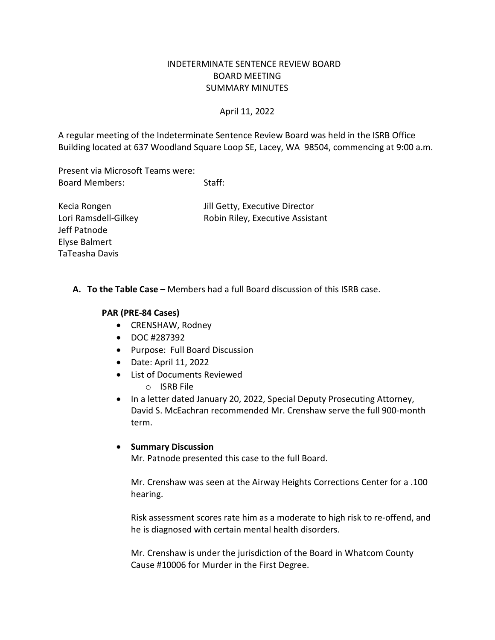## INDETERMINATE SENTENCE REVIEW BOARD BOARD MEETING SUMMARY MINUTES

### April 11, 2022

 Building located at 637 Woodland Square Loop SE, Lacey, WA 98504, commencing at 9:00 a.m. A regular meeting of the Indeterminate Sentence Review Board was held in the ISRB Office

 Present via Microsoft Teams were: Board Members: Staff:

Kecia Rongen Jeff Patnode Elyse Balmert TaTeasha Davis

Jill Getty, Executive Director Lori Ramsdell-Gilkey Robin Riley, Executive Assistant

**A. To the Table Case –** Members had a full Board discussion of this ISRB case.

## **PAR (PRE-84 Cases)**

- CRENSHAW, Rodney
- DOC #287392
- Purpose: Full Board Discussion
- Date: April 11, 2022
- List of Documents Reviewed
	- o ISRB File
- • In a letter dated January 20, 2022, Special Deputy Prosecuting Attorney, David S. McEachran recommended Mr. Crenshaw serve the full 900-month term.

#### • **Summary Discussion**

Mr. Patnode presented this case to the full Board.

Mr. Crenshaw was seen at the Airway Heights Corrections Center for a .100 hearing.

 Risk assessment scores rate him as a moderate to high risk to re-offend, and he is diagnosed with certain mental health disorders.

Mr. Crenshaw is under the jurisdiction of the Board in Whatcom County Cause #10006 for Murder in the First Degree.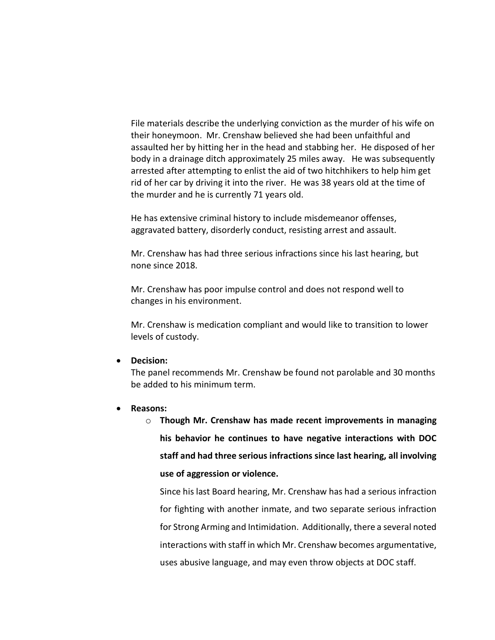their honeymoon. Mr. Crenshaw believed she had been unfaithful and assaulted her by hitting her in the head and stabbing her. He disposed of her rid of her car by driving it into the river. He was 38 years old at the time of the murder and he is currently 71 years old. File materials describe the underlying conviction as the murder of his wife on body in a drainage ditch approximately 25 miles away. He was subsequently arrested after attempting to enlist the aid of two hitchhikers to help him get

He has extensive criminal history to include misdemeanor offenses, aggravated battery, disorderly conduct, resisting arrest and assault.

 Mr. Crenshaw has had three serious infractions since his last hearing, but none since 2018.

Mr. Crenshaw has poor impulse control and does not respond well to changes in his environment.

Mr. Crenshaw is medication compliant and would like to transition to lower levels of custody.

#### • **Decision:**

 The panel recommends Mr. Crenshaw be found not parolable and 30 months be added to his minimum term.

#### • **Reasons:**

 **staff and had three serious infractions since last hearing, all involving**  o **Though Mr. Crenshaw has made recent improvements in managing his behavior he continues to have negative interactions with DOC use of aggression or violence.** 

 Since his last Board hearing, Mr. Crenshaw has had a serious infraction for fighting with another inmate, and two separate serious infraction for Strong Arming and Intimidation. Additionally, there a several noted interactions with staff in which Mr. Crenshaw becomes argumentative, uses abusive language, and may even throw objects at DOC staff.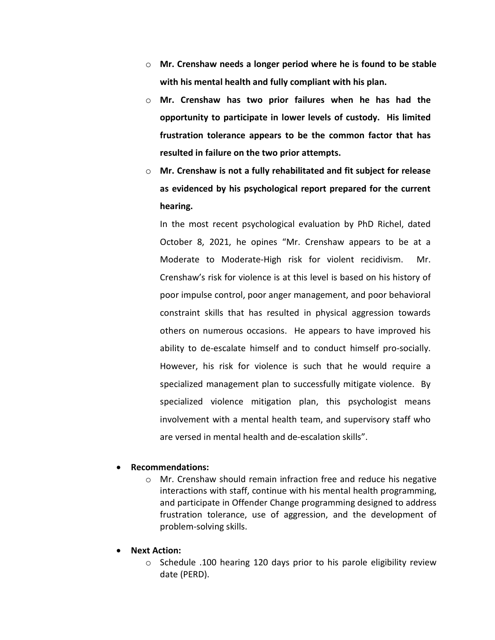- o **Mr. Crenshaw needs a longer period where he is found to be stable with his mental health and fully compliant with his plan.**
- o **Mr. Crenshaw has two prior failures when he has had the opportunity to participate in lower levels of custody. His limited frustration tolerance appears to be the common factor that has resulted in failure on the two prior attempts.**
- o **Mr. Crenshaw is not a fully rehabilitated and fit subject for release as evidenced by his psychological report prepared for the current hearing.**

 October 8, 2021, he opines "Mr. Crenshaw appears to be at a Moderate to Moderate-High risk for violent recidivism. Mr. Crenshaw's risk for violence is at this level is based on his history of poor impulse control, poor anger management, and poor behavioral others on numerous occasions. He appears to have improved his However, his risk for violence is such that he would require a specialized management plan to successfully mitigate violence. By involvement with a mental health team, and supervisory staff who are versed in mental health and de-escalation skills". In the most recent psychological evaluation by PhD Richel, dated constraint skills that has resulted in physical aggression towards ability to de-escalate himself and to conduct himself pro-socially. specialized violence mitigation plan, this psychologist means

#### • **Recommendations:**

- o Mr. Crenshaw should remain infraction free and reduce his negative problem-solving skills. interactions with staff, continue with his mental health programming, and participate in Offender Change programming designed to address frustration tolerance, use of aggression, and the development of
- • **Next Action:** 
	- o Schedule .100 hearing 120 days prior to his parole eligibility review date (PERD).